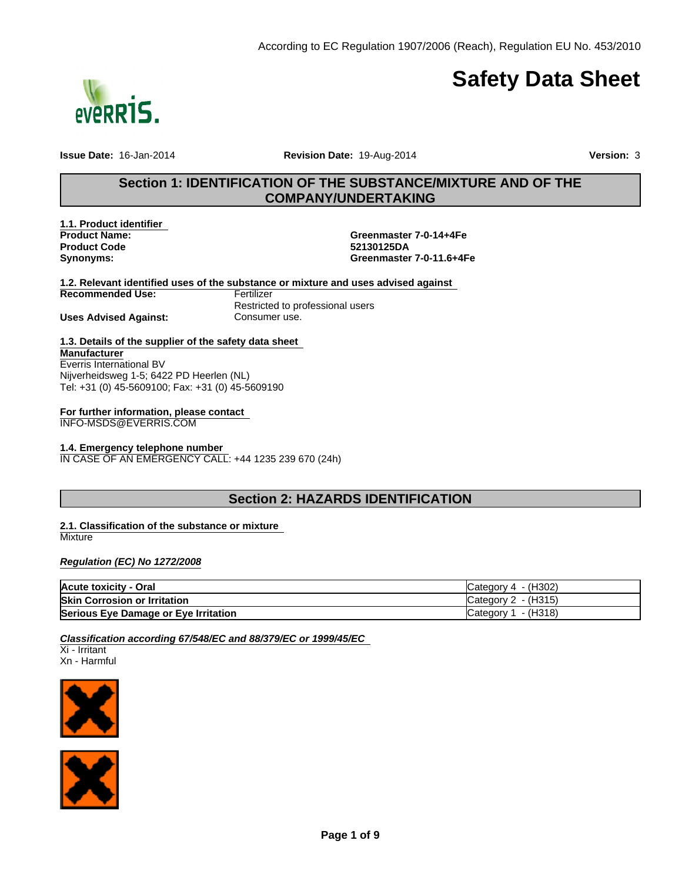

# **Safety Data Sheet**

**Issue Date:** 16-Jan-2014 **Revision Date:** 19-Aug-2014 **Version:** 3

## **Section 1: IDENTIFICATION OF THE SUBSTANCE/MIXTURE AND OF THE COMPANY/UNDERTAKING**

**Product Code Synonyms: 1.1. Product identifier** 

**52130125DA Greenmaster 7-0-11.6+4Fe Product Name: Greenmaster 7-0-14+4Fe**

**1.2. Relevant identified uses of the substance or mixture and uses advised against** 

**Recommended Use:**

**Uses Advised Against:**

**Fertilizer** Restricted to professional users Consumer use.

## **1.3. Details of the supplier of the safety data sheet Manufacturer** Everris International BV

Nijverheidsweg 1-5; 6422 PD Heerlen (NL) Tel: +31 (0) 45-5609100; Fax: +31 (0) 45-5609190

**For further information, please contact** 

INFO-MSDS@EVERRIS.COM

## **1.4. Emergency telephone number**

IN CASE OF AN EMERGENCY CALL: +44 1235 239 670 (24h)

## **Section 2: HAZARDS IDENTIFICATION**

### **2.1. Classification of the substance or mixture Mixture**

*Regulation (EC) No 1272/2008*

| Acute toxicity - Oral                | Category $4 - (H302)$           |
|--------------------------------------|---------------------------------|
| <b>Skin Corrosion or Irritation</b>  | $\textsf{C}$ ategory 2 - (H315) |
| Serious Eye Damage or Eye Irritation | Category $1 - (H318)$           |

*Classification according 67/548/EC and 88/379/EC or 1999/45/EC* 

Xi - Irritant Xn - Harmful



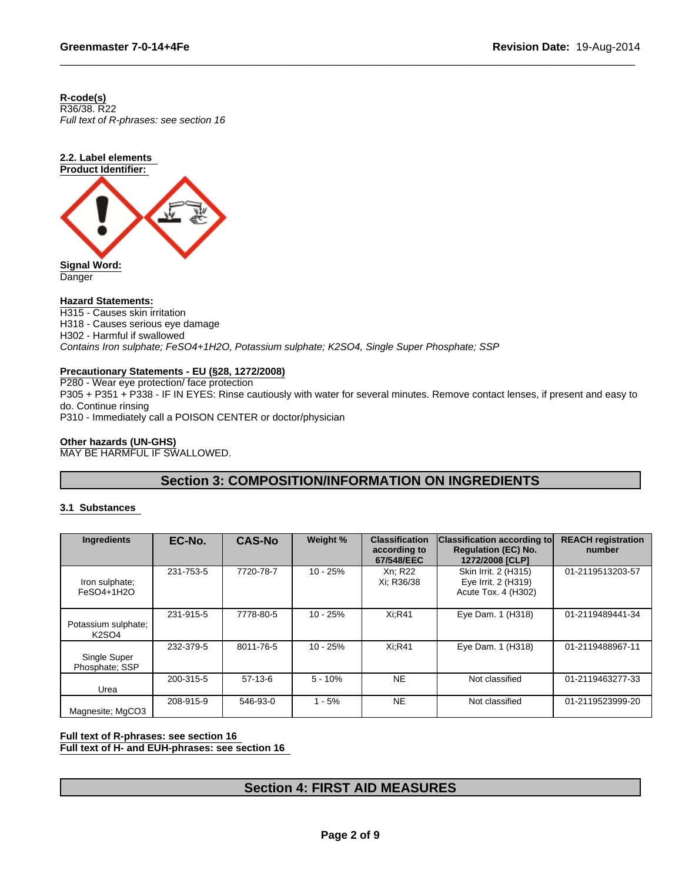**R-code(s)**

*Full text of R-phrases: see section 16* R36/38. R22



**Danger** 

## **Hazard Statements:**

H315 - Causes skin irritation H318 - Causes serious eye damage H302 - Harmful if swallowed *Contains Iron sulphate; FeSO4+1H2O, Potassium sulphate; K2SO4, Single Super Phosphate; SSP*

## **Precautionary Statements - EU (§28, 1272/2008)**

P280 - Wear eye protection/ face protection P305 + P351 + P338 - IF IN EYES: Rinse cautiously with water for several minutes. Remove contact lenses, if present and easy to do. Continue rinsing P310 - Immediately call a POISON CENTER or doctor/physician

## **Other hazards (UN-GHS)**

MAY BE HARMFUL IF SWALLOWED.

## **Section 3: COMPOSITION/INFORMATION ON INGREDIENTS**

## **3.1 Substances**

| Ingredients                         | EC-No.    | <b>CAS-No</b> | Weight %   | <b>Classification</b><br>according to<br>67/548/EEC | <b>Classification according to</b><br><b>Regulation (EC) No.</b><br>1272/2008 [CLP] | <b>REACH registration</b><br>number |
|-------------------------------------|-----------|---------------|------------|-----------------------------------------------------|-------------------------------------------------------------------------------------|-------------------------------------|
| Iron sulphate;<br>FeSO4+1H2O        | 231-753-5 | 7720-78-7     | $10 - 25%$ | Xn: R22<br>Xi; R36/38                               | Skin Irrit. 2 (H315)<br>Eye Irrit. 2 (H319)<br>Acute Tox. 4 (H302)                  | 01-2119513203-57                    |
| Potassium sulphate;<br><b>K2SO4</b> | 231-915-5 | 7778-80-5     | 10 - 25%   | <b>Xi:R41</b>                                       | Eye Dam. 1 (H318)                                                                   | 01-2119489441-34                    |
| Single Super<br>Phosphate: SSP      | 232-379-5 | 8011-76-5     | $10 - 25%$ | <b>Xi:R41</b>                                       | Eye Dam. 1 (H318)                                                                   | 01-2119488967-11                    |
| Urea                                | 200-315-5 | $57-13-6$     | $5 - 10%$  | <b>NE</b>                                           | Not classified                                                                      | 01-2119463277-33                    |
| Magnesite; MgCO3                    | 208-915-9 | 546-93-0      | $1 - 5%$   | <b>NE</b>                                           | Not classified                                                                      | 01-2119523999-20                    |

## **Full text of R-phrases: see section 16**

**Full text of H- and EUH-phrases: see section 16** 

## **Section 4: FIRST AID MEASURES**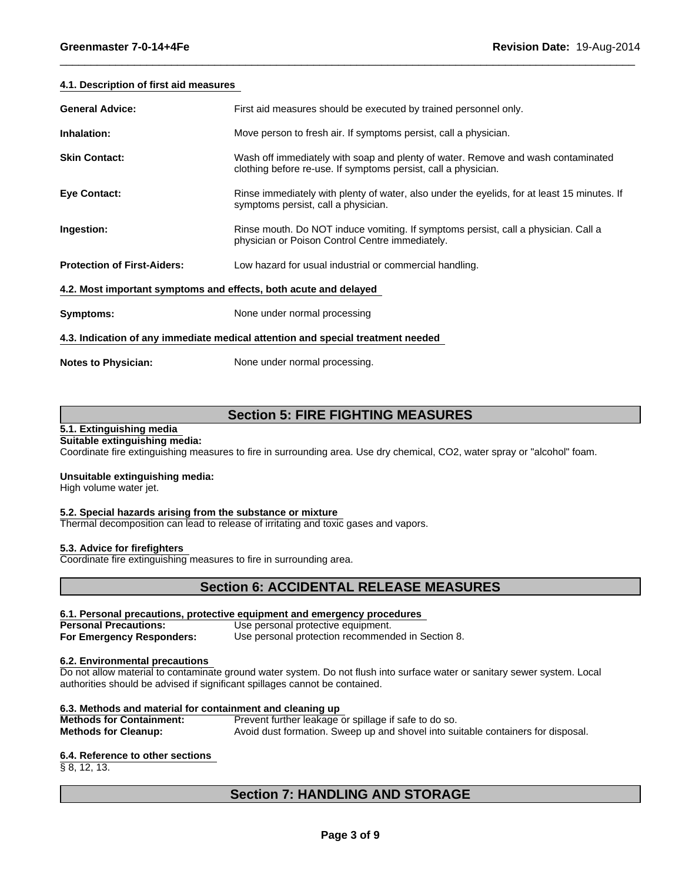## **4.1. Description of first aid measures**

| <b>General Advice:</b>                                           | First aid measures should be executed by trained personnel only.                                                                                   |
|------------------------------------------------------------------|----------------------------------------------------------------------------------------------------------------------------------------------------|
| Inhalation:                                                      | Move person to fresh air. If symptoms persist, call a physician.                                                                                   |
| <b>Skin Contact:</b>                                             | Wash off immediately with soap and plenty of water. Remove and wash contaminated<br>clothing before re-use. If symptoms persist, call a physician. |
| <b>Eye Contact:</b>                                              | Rinse immediately with plenty of water, also under the eyelids, for at least 15 minutes. If<br>symptoms persist, call a physician.                 |
| Ingestion:                                                       | Rinse mouth. Do NOT induce vomiting. If symptoms persist, call a physician. Call a<br>physician or Poison Control Centre immediately.              |
| <b>Protection of First-Aiders:</b>                               | Low hazard for usual industrial or commercial handling.                                                                                            |
| 4.2. Most important symptoms and effects, both acute and delayed |                                                                                                                                                    |
| Symptoms:                                                        | None under normal processing                                                                                                                       |
|                                                                  | 4.3. Indication of any immediate medical attention and special treatment needed                                                                    |
| <b>Notes to Physician:</b>                                       | None under normal processing.                                                                                                                      |

## **Section 5: FIRE FIGHTING MEASURES**

## **5.1. Extinguishing media**

### **Suitable extinguishing media:**

Coordinate fire extinguishing measures to fire in surrounding area. Use dry chemical, CO2, water spray or "alcohol" foam.

### **Unsuitable extinguishing media:**

High volume water jet.

### **5.2. Special hazards arising from the substance or mixture**

Thermal decomposition can lead to release of irritating and toxic gases and vapors.

### **5.3. Advice for firefighters**

Coordinate fire extinguishing measures to fire in surrounding area.

## **Section 6: ACCIDENTAL RELEASE MEASURES**

## **6.1. Personal precautions, protective equipment and emergency procedures**

**Personal Precautions:** Use personal protective equipment. **For Emergency Responders:** Use personal protection recommended in Section 8.

### **6.2. Environmental precautions**

Do not allow material to contaminate ground water system. Do not flush into surface water or sanitary sewer system. Local authorities should be advised if significant spillages cannot be contained.

### **6.3. Methods and material for containment and cleaning up**

**Methods for Containment:** Prevent further leakage or spillage if safe to do so. **Methods for Cleanup:** Avoid dust formation. Sweep up and shovel into suitable containers for disposal.

## **6.4. Reference to other sections**

§ 8, 12, 13.

## **Section 7: HANDLING AND STORAGE**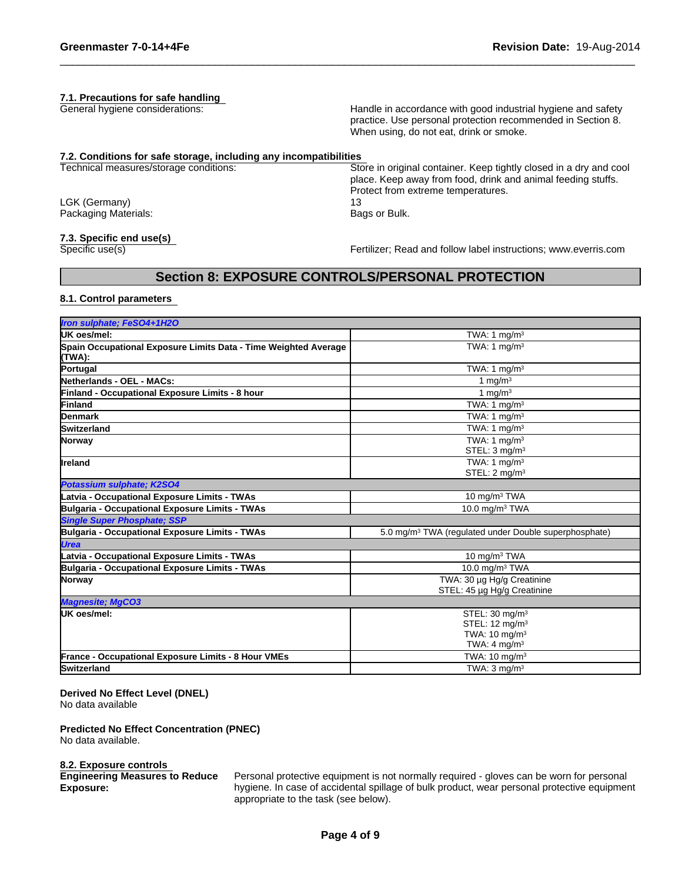## **7.1. Precautions for safe handling**

General hygiene considerations:

Handle in accordance with good industrial hygiene and safety practice. Use personal protection recommended in Section 8. When using, do not eat, drink or smoke.

place. Keep away from food, drink and animal feeding stuffs.

Protect from extreme temperatures.

### Store in original container. Keep tightly closed in a dry and cool **7.2. Conditions for safe storage, including any incompatibilities**

Technical measures/storage conditions:

LGK (Germany) Packaging Materials:

## **7.3. Specific end use(s)**

Specific use(s)

Fertilizer; Read and follow label instructions; www.everris.com

## **Section 8: EXPOSURE CONTROLS/PERSONAL PROTECTION**

13

Bags or Bulk.

## **8.1. Control parameters**

| Iron sulphate; FeSO4+1H2O                                                 |                                                                                                                 |
|---------------------------------------------------------------------------|-----------------------------------------------------------------------------------------------------------------|
| <b>UK oes/mel:</b>                                                        | TWA: 1 $mg/m3$                                                                                                  |
| Spain Occupational Exposure Limits Data - Time Weighted Average<br>(TWA): | TWA: 1 $ma/m3$                                                                                                  |
| Portugal                                                                  | TWA: 1 $mq/m3$                                                                                                  |
| Netherlands - OEL - MACs:                                                 | 1 mg/m $3$                                                                                                      |
| Finland - Occupational Exposure Limits - 8 hour                           | 1 mg/m $3$                                                                                                      |
| Finland                                                                   | TWA: 1 $mg/m3$                                                                                                  |
| <b>Denmark</b>                                                            | TWA: 1 $mq/m3$                                                                                                  |
| <b>Switzerland</b>                                                        | TWA: 1 $mg/m3$                                                                                                  |
| Norway                                                                    | TWA: $1 \text{ mg/m}^3$<br>STEL: $3 \text{ mg/m}^3$                                                             |
| <b>I</b> reland                                                           | TWA: 1 $mq/m3$<br>STEL: 2 mg/m <sup>3</sup>                                                                     |
| Potassium sulphate; K2SO4                                                 |                                                                                                                 |
| Latvia - Occupational Exposure Limits - TWAs                              | 10 mg/m <sup>3</sup> TWA                                                                                        |
| Bulgaria - Occupational Exposure Limits - TWAs                            | 10.0 mg/m <sup>3</sup> TWA                                                                                      |
| <b>Single Super Phosphate: SSP</b>                                        |                                                                                                                 |
| Bulgaria - Occupational Exposure Limits - TWAs                            | 5.0 mg/m <sup>3</sup> TWA (regulated under Double superphosphate)                                               |
| <b>Urea</b>                                                               |                                                                                                                 |
| Latvia - Occupational Exposure Limits - TWAs                              | 10 mg/m $3$ TWA                                                                                                 |
| Bulgaria - Occupational Exposure Limits - TWAs                            | 10.0 mg/m $3$ TWA                                                                                               |
| Norway                                                                    | TWA: 30 µg Hg/g Creatinine<br>STEL: 45 µg Hg/g Creatinine                                                       |
| Magnesite; MgCO3                                                          |                                                                                                                 |
| <b>UK oes/mel:</b>                                                        | STEL: 30 mg/m <sup>3</sup><br>STEL: $12 \text{ mq/m}^3$<br>TWA: 10 mg/m <sup>3</sup><br>TWA: $4 \text{ mg/m}^3$ |
| <b>France - Occupational Exposure Limits - 8 Hour VMEs</b>                | TWA: $10 \text{ mg/m}^3$                                                                                        |
| <b>Switzerland</b>                                                        | TWA: $3 \text{ mg/m}^3$                                                                                         |
|                                                                           |                                                                                                                 |

## **Derived No Effect Level (DNEL)**

No data available

## **Predicted No Effect Concentration (PNEC)**

No data available.

### **8.2. Exposure controls**

**Engineering Measures to Reduce Exposure:**

Personal protective equipment is not normally required - gloves can be worn for personal hygiene. In case of accidental spillage of bulk product, wear personal protective equipment appropriate to the task (see below).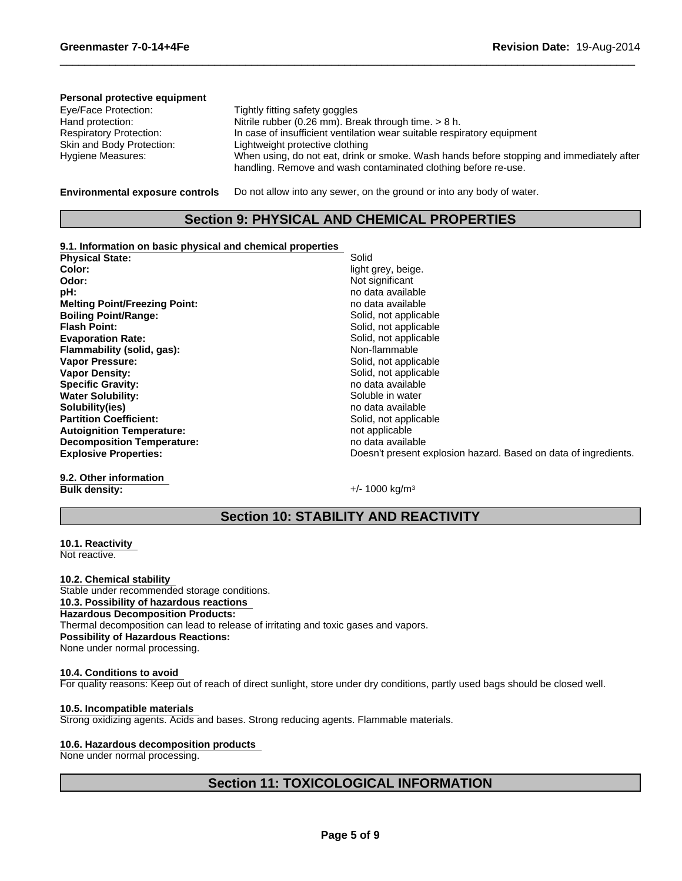#### In case of insufficient ventilation wear suitable respiratory equipment Tightly fitting safety goggles Skin and Body Protection: Lightweight protective clothing Hand protection: Hygiene Measures: When using, do not eat, drink or smoke. Wash hands before stopping and immediately after handling. Remove and wash contaminated clothing before re-use. Nitrile rubber (0.26 mm). Break through time. > 8 h. **Personal protective equipment** Eye/Face Protection: Respiratory Protection:

**Environmental exposure controls**

Do not allow into any sewer, on the ground or into any body of water.

## **Section 9: PHYSICAL AND CHEMICAL PROPERTIES**

## **9.1. Information on basic physical and chemical properties**

**Melting Point/Freezing Point: no data available** no data available **Boiling Point/Range:** Solid, not applicable **Flash Point:** Solid, not applicable **Evaporation Rate:**<br> **Example 18 Flammability (solid, qas):**<br> **Elammability (solid, qas):**<br> **Solid, not applicable**<br> **Solid, not applicable Flammability (solid, gas):** Vapor Pressure: The Contract of the Solid, not applicable **Vapor Density:**  $\qquad \qquad$  Solid, not applicable **Specific Gravity:** No observe that the specific Gravity: the specific Gravity:  $\frac{1}{2}$  and  $\frac{1}{2}$  and  $\frac{1}{2}$  and  $\frac{1}{2}$  and  $\frac{1}{2}$  and  $\frac{1}{2}$  and  $\frac{1}{2}$  and  $\frac{1}{2}$  and  $\frac{1}{2}$  and  $\frac{1}{2}$  and  $\$ Physical State: Solid **Water Solubility:** Soluble in water Soluble in water **Solubility(ies)**<br> **Partition Coefficient:**<br> **Partition Coefficient:**<br> **Partition Coefficient: Color:** light grey, beige. **Partition Coefficient: Autoignition Temperature:** not applicable **Odor:** Not significant **Decomposition Temperature:** Notice that the mode of the product of the mode of the mode of the mode of the mode of the mode of the mode of the mode of the mode of the mode of the mode of the mode of the mode of the mode o **pH:** no data available

**Explosive Properties:** Doesn't present explosion hazard. Based on data of ingredients.

**9.2. Other information Bulk density:**  $+/- 1000 \text{ kg/m}^3$ 

## **Section 10: STABILITY AND REACTIVITY**

**10.1. Reactivity**  Not reactive.

**10.2. Chemical stability**  Stable under recommended storage conditions. **10.3. Possibility of hazardous reactions Hazardous Decomposition Products:** Thermal decomposition can lead to release of irritating and toxic gases and vapors. **Possibility of Hazardous Reactions:** None under normal processing.

### **10.4. Conditions to avoid**  For quality reasons: Keep out of reach of direct sunlight, store under dry conditions, partly used bags should be closed well.

## **10.5. Incompatible materials**

Strong oxidizing agents. Acids and bases. Strong reducing agents. Flammable materials.

### **10.6. Hazardous decomposition products**

None under normal processing.

## **Section 11: TOXICOLOGICAL INFORMATION**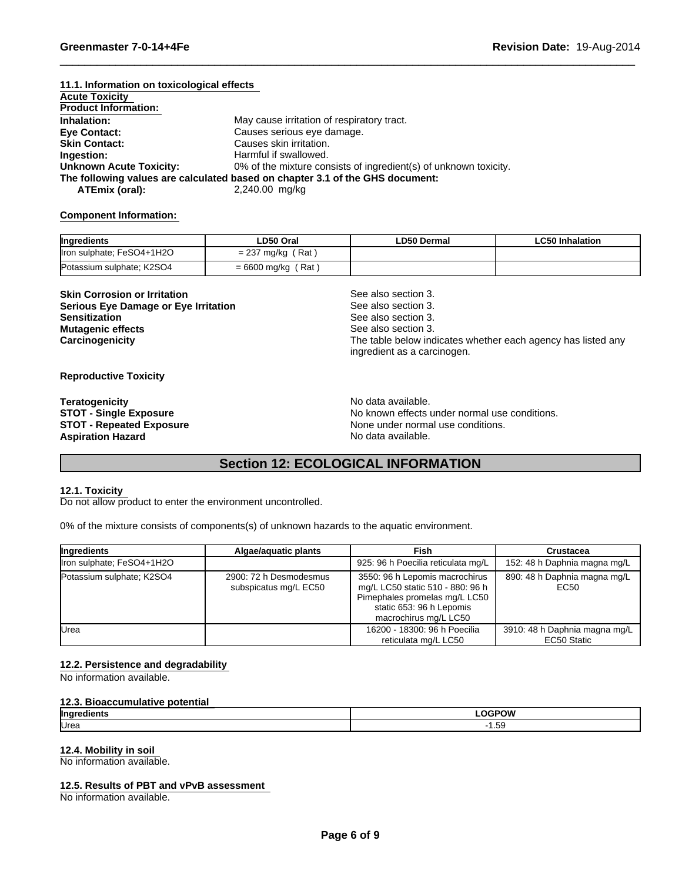#### 0% of the mixture consists of ingredient(s) of unknown toxicity. **Eye Contact:** Causes serious eye damage. **The following values are calculated based on chapter 3.1 of the GHS document: 11.1. Information on toxicological effects Acute Toxicity ATEmix (oral):** 2,240.00 mg/kg **Skin Contact:** Causes skin irritation. **Inhalation:** May cause irritation of respiratory tract. **Ingestion:** Harmful if swallowed. **Product Information: Unknown Acute Toxicity:**

## **Component Information:**

| Ingredients               | LD50 Oral                 | LD50 Dermal | LC50 Inhalation |
|---------------------------|---------------------------|-------------|-----------------|
| Iron sulphate; FeSO4+1H2O | Rat<br>' mg/ka<br>$= 231$ |             |                 |
| Potassium sulphate; K2SO4 | Rat<br>= 6600 mg/kg       |             |                 |

**Skin Corrosion or Irritation** See also section 3. **Serious Eye Damage or Eye Irritation Sensitization Mutagenic effects**

See also section 3. See also section 3. See also section 3. The table below indicates whether each agency has listed any ingredient as a carcinogen.

## **Reproductive Toxicity**

**Aspiration Hazard Aspiration Hazard No data available. Teratogenicity**

No data available. **STOT - Single Exposure** No known effects under normal use conditions. **STOT - Repeated Exposure** None under normal use conditions.

## **Section 12: ECOLOGICAL INFORMATION**

## **12.1. Toxicity**

Do not allow product to enter the environment uncontrolled.

0% of the mixture consists of components(s) of unknown hazards to the aquatic environment.

| Ingredients               | Algae/aguatic plants                            | Fish                                                                                                                                                     | Crustacea                                    |
|---------------------------|-------------------------------------------------|----------------------------------------------------------------------------------------------------------------------------------------------------------|----------------------------------------------|
| Iron sulphate; FeSO4+1H2O |                                                 | 925: 96 h Poecilia reticulata mg/L                                                                                                                       | 152: 48 h Daphnia magna mg/L                 |
| Potassium sulphate; K2SO4 | 2900: 72 h Desmodesmus<br>subspicatus mg/L EC50 | 3550: 96 h Lepomis macrochirus<br>mg/L LC50 static 510 - 880: 96 h<br>Pimephales promelas mg/L LC50<br>static 653: 96 h Lepomis<br>macrochirus mg/L LC50 | 890: 48 h Daphnia magna mg/L<br>EC50         |
| <b>U</b> rea              |                                                 | 16200 - 18300: 96 h Poecilia<br>reticulata mg/L LC50                                                                                                     | 3910: 48 h Daphnia magna mg/L<br>EC50 Static |

### **12.2. Persistence and degradability**

No information available.

### **12.3. Bioaccumulative potential**

| llnare        | תו ב |
|---------------|------|
| ш.            |      |
| <b>I</b> Urea | 5. I |

### **12.4. Mobility in soil**

No information available.

## **12.5. Results of PBT and vPvB assessment**

No information available.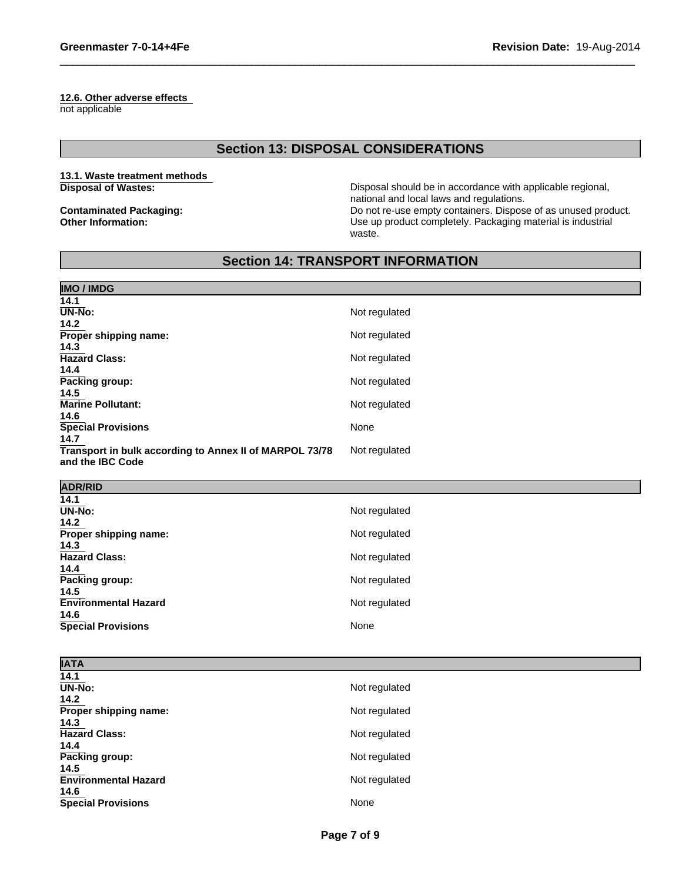## **12.6. Other adverse effects**

not applicable

## **Section 13: DISPOSAL CONSIDERATIONS**

## **13.1. Waste treatment methods Disposal of Wastes:**

**Contaminated Packaging: Other Information:**

Disposal should be in accordance with applicable regional, national and local laws and regulations. Do not re-use empty containers. Dispose of as unused product. Use up product completely. Packaging material is industrial waste.

## **Section 14: TRANSPORT INFORMATION**

| <b>IMO / IMDG</b>                                       |               |
|---------------------------------------------------------|---------------|
| 14.1                                                    |               |
| $\overline{\text{UN-N}}$ o:                             | Not regulated |
| 14.2                                                    |               |
| Proper shipping name:                                   | Not regulated |
| 14.3<br><b>Hazard Class:</b>                            | Not regulated |
| 14.4                                                    |               |
| Packing group:                                          | Not regulated |
| 14.5                                                    |               |
| Marine Pollutant:                                       | Not regulated |
| 14.6                                                    |               |
| <b>Special Provisions</b>                               | None          |
| 14.7                                                    |               |
| Transport in bulk according to Annex II of MARPOL 73/78 | Not regulated |
| and the IBC Code                                        |               |
| <b>ADR/RID</b>                                          |               |
| 14.1                                                    |               |
| $\overline{UN-N}$ o:                                    | Not regulated |
| 14.2                                                    |               |
| Proper shipping name:                                   | Not regulated |
| 14.3                                                    |               |
| <b>Hazard Class:</b>                                    | Not regulated |
| 14.4                                                    |               |
| Packing group:                                          | Not regulated |
| 14.5<br><b>Environmental Hazard</b>                     |               |
| 14.6                                                    | Not regulated |
| <b>Special Provisions</b>                               | None          |

| <b>IATA</b>                 |               |
|-----------------------------|---------------|
| 14.1                        |               |
| UN-No:                      | Not regulated |
| 14.2                        |               |
| Proper shipping name:       | Not regulated |
| 14.3                        |               |
| <b>Hazard Class:</b>        | Not regulated |
| 14.4                        |               |
| Packing group:              | Not regulated |
| 14.5                        |               |
| <b>Environmental Hazard</b> | Not regulated |
| 14.6                        |               |
| <b>Special Provisions</b>   | None          |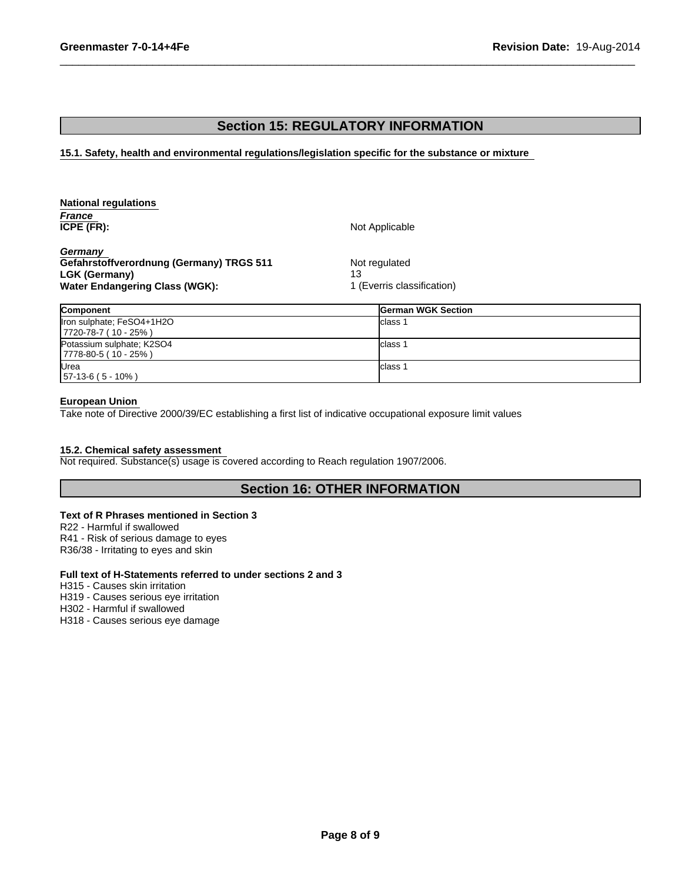## **Section 15: REGULATORY INFORMATION**

**15.1. Safety, health and environmental regulations/legislation specific for the substance or mixture** 

| <b>National regulations</b>              |                            |
|------------------------------------------|----------------------------|
| France                                   |                            |
| ICPE (FR):                               | Not Applicable             |
| Germany                                  |                            |
| Gefahrstoffverordnung (Germany) TRGS 511 | Not regulated              |
| <b>LGK (Germany)</b>                     | 13                         |
| Water Endangering Class (WGK):           | 1 (Everris classification) |

| <b>Component</b>                                  | <b>German WGK Section</b> |
|---------------------------------------------------|---------------------------|
| Iron sulphate; FeSO4+1H2O<br>$ 7720-78-7(10-25%)$ | Iclass                    |
| Potassium sulphate; K2SO4<br>$ 7778-80-5(10-25%)$ | Iclass                    |
| <b>IUrea</b><br>$157-13-6(5-10%)$                 | Iclass                    |

## **European Union**

Take note of Directive 2000/39/EC establishing a first list of indicative occupational exposure limit values

## **15.2. Chemical safety assessment**

Not required. Substance(s) usage is covered according to Reach regulation 1907/2006.

## **Section 16: OTHER INFORMATION**

## **Text of R Phrases mentioned in Section 3**

R22 - Harmful if swallowed R41 - Risk of serious damage to eyes R36/38 - Irritating to eyes and skin

## **Full text of H-Statements referred to under sections 2 and 3**

H315 - Causes skin irritation

H319 - Causes serious eye irritation

H302 - Harmful if swallowed

H318 - Causes serious eye damage